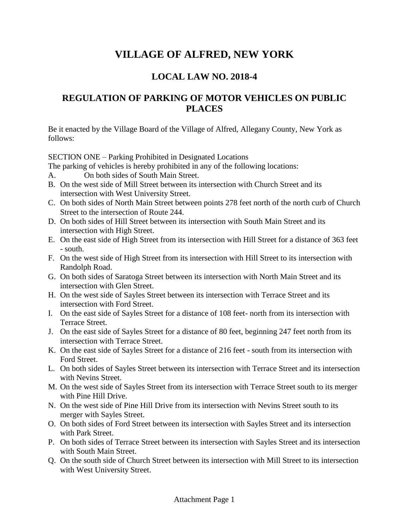## **VILLAGE OF ALFRED, NEW YORK**

## **LOCAL LAW NO. 2018-4**

## **REGULATION OF PARKING OF MOTOR VEHICLES ON PUBLIC PLACES**

Be it enacted by the Village Board of the Village of Alfred, Allegany County, New York as follows:

SECTION ONE – Parking Prohibited in Designated Locations

The parking of vehicles is hereby prohibited in any of the following locations:

- A. On both sides of South Main Street.
- B. On the west side of Mill Street between its intersection with Church Street and its intersection with West University Street.
- C. On both sides of North Main Street between points 278 feet north of the north curb of Church Street to the intersection of Route 244.
- D. On both sides of Hill Street between its intersection with South Main Street and its intersection with High Street.
- E. On the east side of High Street from its intersection with Hill Street for a distance of 363 feet - south.
- F. On the west side of High Street from its intersection with Hill Street to its intersection with Randolph Road.
- G. On both sides of Saratoga Street between its intersection with North Main Street and its intersection with Glen Street.
- H. On the west side of Sayles Street between its intersection with Terrace Street and its intersection with Ford Street.
- I. On the east side of Sayles Street for a distance of 108 feet- north from its intersection with Terrace Street.
- J. On the east side of Sayles Street for a distance of 80 feet, beginning 247 feet north from its intersection with Terrace Street.
- K. On the east side of Sayles Street for a distance of 216 feet south from its intersection with Ford Street.
- L. On both sides of Sayles Street between its intersection with Terrace Street and its intersection with Nevins Street.
- M. On the west side of Sayles Street from its intersection with Terrace Street south to its merger with Pine Hill Drive.
- N. On the west side of Pine Hill Drive from its intersection with Nevins Street south to its merger with Sayles Street.
- O. On both sides of Ford Street between its intersection with Sayles Street and its intersection with Park Street.
- P. On both sides of Terrace Street between its intersection with Sayles Street and its intersection with South Main Street.
- Q. On the south side of Church Street between its intersection with Mill Street to its intersection with West University Street.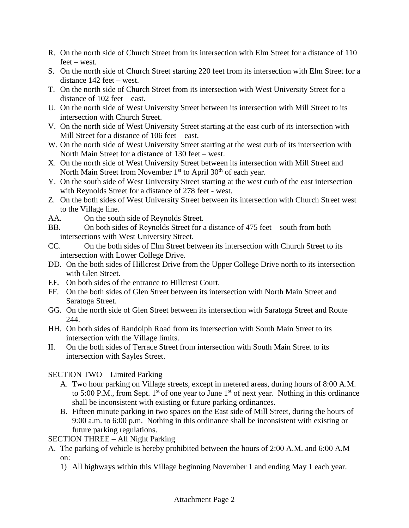- R. On the north side of Church Street from its intersection with Elm Street for a distance of 110 feet – west.
- S. On the north side of Church Street starting 220 feet from its intersection with Elm Street for a distance 142 feet – west.
- T. On the north side of Church Street from its intersection with West University Street for a distance of 102 feet – east.
- U. On the north side of West University Street between its intersection with Mill Street to its intersection with Church Street.
- V. On the north side of West University Street starting at the east curb of its intersection with Mill Street for a distance of 106 feet – east.
- W. On the north side of West University Street starting at the west curb of its intersection with North Main Street for a distance of 130 feet – west.
- X. On the north side of West University Street between its intersection with Mill Street and North Main Street from November 1<sup>st</sup> to April 30<sup>th</sup> of each year.
- Y. On the south side of West University Street starting at the west curb of the east intersection with Reynolds Street for a distance of 278 feet - west.
- Z. On the both sides of West University Street between its intersection with Church Street west to the Village line.
- AA. On the south side of Reynolds Street.
- BB. On both sides of Reynolds Street for a distance of 475 feet south from both intersections with West University Street.
- CC. On the both sides of Elm Street between its intersection with Church Street to its intersection with Lower College Drive.
- DD. On the both sides of Hillcrest Drive from the Upper College Drive north to its intersection with Glen Street.
- EE. On both sides of the entrance to Hillcrest Court.
- FF. On the both sides of Glen Street between its intersection with North Main Street and Saratoga Street.
- GG. On the north side of Glen Street between its intersection with Saratoga Street and Route 244.
- HH. On both sides of Randolph Road from its intersection with South Main Street to its intersection with the Village limits.
- II. On the both sides of Terrace Street from intersection with South Main Street to its intersection with Sayles Street.

SECTION TWO – Limited Parking

- A. Two hour parking on Village streets, except in metered areas, during hours of 8:00 A.M. to 5:00 P.M., from Sept.  $1<sup>st</sup>$  of one year to June  $1<sup>st</sup>$  of next year. Nothing in this ordinance shall be inconsistent with existing or future parking ordinances.
- B. Fifteen minute parking in two spaces on the East side of Mill Street, during the hours of 9:00 a.m. to 6:00 p.m. Nothing in this ordinance shall be inconsistent with existing or future parking regulations.

SECTION THREE – All Night Parking

- A. The parking of vehicle is hereby prohibited between the hours of 2:00 A.M. and 6:00 A.M on:
	- 1) All highways within this Village beginning November 1 and ending May 1 each year.